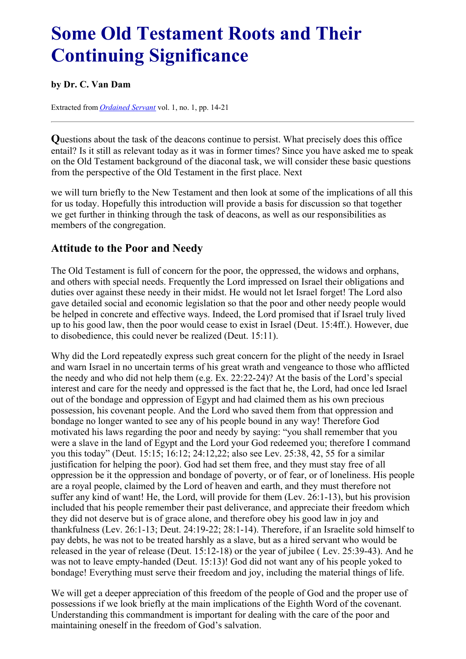# <span id="page-0-0"></span>**Some Old Testament Roots and Their Continuing Significance**

#### **by Dr. C. Van Dam**

Extracted from *[Ordained](../../Ordained_servant.html) Servant* vol. 1, no. 1, pp. 14-21

**Q**uestions about the task of the deacons continue to persist. What precisely does this office entail? Is it still as relevant today as it was in former times? Since you have asked me to speak on the Old Testament background of the diaconal task, we will consider these basic questions from the perspective of the Old Testament in the first place. Next

we will turn briefly to the New Testament and then look at some of the implications of all this for us today. Hopefully this introduction will provide a basis for discussion so that together we get further in thinking through the task of deacons, as well as our responsibilities as members of the congregation.

#### **Attitude to the Poor and Needy**

The Old Testament is full of concern for the poor, the oppressed, the widows and orphans, and others with special needs. Frequently the Lord impressed on Israel their obligations and duties over against these needy in their midst. He would not let Israel forget! The Lord also gave detailed social and economic legislation so that the poor and other needy people would be helped in concrete and effective ways. Indeed, the Lord promised that if Israel truly lived up to his good law, then the poor would cease to exist in Israel (Deut. 15:4ff.). However, due to disobedience, this could never be realized (Deut. 15:11).

Why did the Lord repeatedly express such great concern for the plight of the needy in Israel and warn Israel in no uncertain terms of his great wrath and vengeance to those who afflicted the needy and who did not help them (e.g. Ex. 22:22-24)? At the basis of the Lord's special interest and care for the needy and oppressed is the fact that he, the Lord, had once led Israel out of the bondage and oppression of Egypt and had claimed them as his own precious possession, his covenant people. And the Lord who saved them from that oppression and bondage no longer wanted to see any of his people bound in any way! Therefore God motivated his laws regarding the poor and needy by saying: "you shall remember that you were a slave in the land of Egypt and the Lord your God redeemed you; therefore I command you this today" (Deut. 15:15; 16:12; 24:12,22; also see Lev. 25:38, 42, 55 for a similar justification for helping the poor). God had set them free, and they must stay free of all oppression be it the oppression and bondage of poverty, or of fear, or of loneliness. His people are a royal people, claimed by the Lord of heaven and earth, and they must therefore not suffer any kind of want! He, the Lord, will provide for them (Lev. 26:1-13), but his provision included that his people remember their past deliverance, and appreciate their freedom which they did not deserve but is of grace alone, and therefore obey his good law in joy and thankfulness (Lev. 26:1-13; Deut. 24:19-22; 28:1-14). Therefore, if an Israelite sold himself to pay debts, he was not to be treated harshly as a slave, but as a hired servant who would be released in the year of release (Deut. 15:12-18) or the year of jubilee ( Lev. 25:39-43). And he was not to leave empty-handed (Deut. 15:13)! God did not want any of his people yoked to bondage! Everything must serve their freedom and joy, including the material things of life.

We will get a deeper appreciation of this freedom of the people of God and the proper use of possessions if we look briefly at the main implications of the Eighth Word of the covenant. Understanding this commandment is important for dealing with the care of the poor and maintaining oneself in the freedom of God's salvation.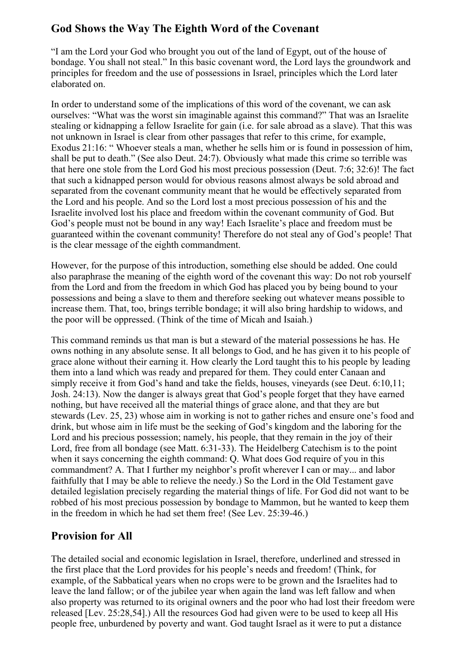## **God Shows the Way The Eighth Word of the Covenant**

"I am the Lord your God who brought you out of the land of Egypt, out of the house of bondage. You shall not steal." In this basic covenant word, the Lord lays the groundwork and principles for freedom and the use of possessions in Israel, principles which the Lord later elaborated on.

In order to understand some of the implications of this word of the covenant, we can ask ourselves: "What was the worst sin imaginable against this command?" That was an Israelite stealing or kidnapping a fellow Israelite for gain (i.e. for sale abroad as a slave). That this was not unknown in Israel is clear from other passages that refer to this crime, for example, Exodus 21:16: " Whoever steals a man, whether he sells him or is found in possession of him, shall be put to death." (See also Deut. 24:7). Obviously what made this crime so terrible was that here one stole from the Lord God his most precious possession (Deut. 7:6; 32:6)! The fact that such a kidnapped person would for obvious reasons almost always be sold abroad and separated from the covenant community meant that he would be effectively separated from the Lord and his people. And so the Lord lost a most precious possession of his and the Israelite involved lost his place and freedom within the covenant community of God. But God's people must not be bound in any way! Each Israelite's place and freedom must be guaranteed within the covenant community! Therefore do not steal any of God's people! That is the clear message of the eighth commandment.

However, for the purpose of this introduction, something else should be added. One could also paraphrase the meaning of the eighth word of the covenant this way: Do not rob yourself from the Lord and from the freedom in which God has placed you by being bound to your possessions and being a slave to them and therefore seeking out whatever means possible to increase them. That, too, brings terrible bondage; it will also bring hardship to widows, and the poor will be oppressed. (Think of the time of Micah and Isaiah.)

This command reminds us that man is but a steward of the material possessions he has. He owns nothing in any absolute sense. It all belongs to God, and he has given it to his people of grace alone without their earning it. How clearly the Lord taught this to his people by leading them into a land which was ready and prepared for them. They could enter Canaan and simply receive it from God's hand and take the fields, houses, vineyards (see Deut. 6:10,11; Josh. 24:13). Now the danger is always great that God's people forget that they have earned nothing, but have received all the material things of grace alone, and that they are but stewards (Lev. 25, 23) whose aim in working is not to gather riches and ensure one's food and drink, but whose aim in life must be the seeking of God's kingdom and the laboring for the Lord and his precious possession; namely, his people, that they remain in the joy of their Lord, free from all bondage (see Matt. 6:31-33). The Heidelberg Catechism is to the point when it says concerning the eighth command: O. What does God require of you in this commandment? A. That I further my neighbor's profit wherever I can or may... and labor faithfully that I may be able to relieve the needy.) So the Lord in the Old Testament gave detailed legislation precisely regarding the material things of life. For God did not want to be robbed of his most precious possession by bondage to Mammon, but he wanted to keep them in the freedom in which he had set them free! (See Lev. 25:39-46.)

#### **Provision for All**

The detailed social and economic legislation in Israel, therefore, underlined and stressed in the first place that the Lord provides for his people's needs and freedom! (Think, for example, of the Sabbatical years when no crops were to be grown and the Israelites had to leave the land fallow; or of the jubilee year when again the land was left fallow and when also property was returned to its original owners and the poor who had lost their freedom were released [Lev. 25:28,54].) All the resources God had given were to be used to keep all His people free, unburdened by poverty and want. God taught Israel as it were to put a distance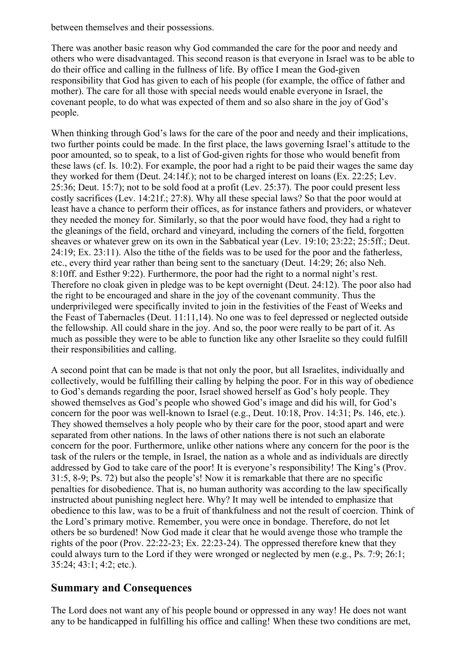between themselves and their possessions.

There was another basic reason why God commanded the care for the poor and needy and others who were disadvantaged. This second reason is that everyone in Israel was to be able to do their office and calling in the fullness of life. By office I mean the God-given responsibility that God has given to each of his people (for example, the office of father and mother). The care for all those with special needs would enable everyone in Israel, the covenant people, to do what was expected of them and so also share in the joy of God's people.

When thinking through God's laws for the care of the poor and needy and their implications, two further points could be made. In the first place, the laws governing Israel's attitude to the poor amounted, so to speak, to a list of God-given rights for those who would benefit from these laws (cf. Is. 10:2). For example, the poor had a right to be paid their wages the same day they worked for them (Deut. 24:14f.); not to be charged interest on loans (Ex. 22:25; Lev. 25:36; Deut. 15:7); not to be sold food at a profit (Lev. 25:37). The poor could present less costly sacrifices (Lev. 14:21f.; 27:8). Why all these special laws? So that the poor would at least have a chance to perform their offices, as for instance fathers and providers, or whatever they needed the money for. Similarly, so that the poor would have food, they had a right to the gleanings of the field, orchard and vineyard, including the corners of the field, forgotten sheaves or whatever grew on its own in the Sabbatical year (Lev. 19:10; 23:22; 25:5ff.; Deut. 24:19; Ex. 23:11). Also the tithe of the fields was to be used for the poor and the fatherless, etc., every third year rather than being sent to the sanctuary (Deut. 14:29; 26; also Neh. 8:10ff. and Esther 9:22). Furthermore, the poor had the right to a normal night's rest. Therefore no cloak given in pledge was to be kept overnight (Deut. 24:12). The poor also had the right to be encouraged and share in the joy of the covenant community. Thus the underprivileged were specifically invited to join in the festivities of the Feast of Weeks and the Feast of Tabernacles (Deut. 11:11,14). No one was to feel depressed or neglected outside the fellowship. All could share in the joy. And so, the poor were really to be part of it. As much as possible they were to be able to function like any other Israelite so they could fulfill their responsibilities and calling.

A second point that can be made is that not only the poor, but all Israelites, individually and collectively, would be fulfilling their calling by helping the poor. For in this way of obedience to God's demands regarding the poor, Israel showed herself as God's holy people. They showed themselves as God's people who showed God's image and did his will, for God's concern for the poor was well-known to Israel (e.g., Deut. 10:18, Prov. 14:31; Ps. 146, etc.). They showed themselves a holy people who by their care for the poor, stood apart and were separated from other nations. In the laws of other nations there is not such an elaborate concern for the poor. Furthermore, unlike other nations where any concern for the poor is the task of the rulers or the temple, in Israel, the nation as a whole and as individuals are directly addressed by God to take care of the poor! It is everyone's responsibility! The King's (Prov. 31:5, 8-9; Ps. 72) but also the people's! Now it is remarkable that there are no specific penalties for disobedience. That is, no human authority was according to the law specifically instructed about punishing neglect here. Why? It may well be intended to emphasize that obedience to this law, was to be a fruit of thankfulness and not the result of coercion. Think of the Lord's primary motive. Remember, you were once in bondage. Therefore, do not let others be so burdened! Now God made it clear that he would avenge those who trample the rights of the poor (Prov. 22:22-23; Ex. 22:23-24). The oppressed therefore knew that they could always turn to the Lord if they were wronged or neglected by men (e.g., Ps. 7:9; 26:1; 35:24; 43:1; 4:2; etc.).

#### **Summary and Consequences**

The Lord does not want any of his people bound or oppressed in any way! He does not want any to be handicapped in fulfilling his office and calling! When these two conditions are met,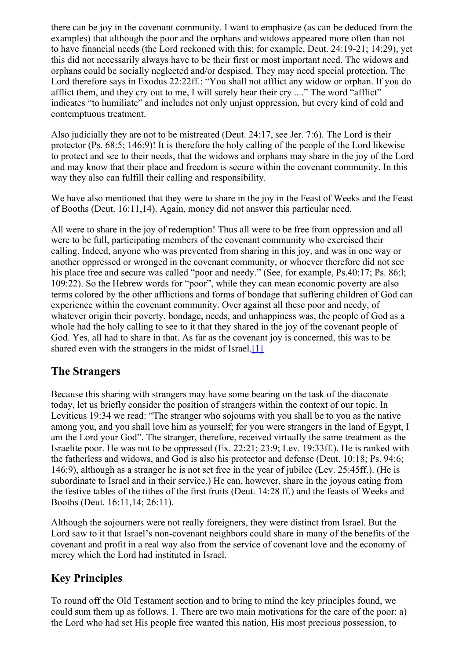there can be joy in the covenant community. I want to emphasize (as can be deduced from the examples) that although the poor and the orphans and widows appeared more often than not to have financial needs (the Lord reckoned with this; for example, Deut. 24:19-21; 14:29), yet this did not necessarily always have to be their first or most important need. The widows and orphans could be socially neglected and/or despised. They may need special protection. The Lord therefore says in Exodus 22:22ff.: "You shall not afflict any widow or orphan. If you do afflict them, and they cry out to me, I will surely hear their cry ...." The word "afflict" indicates "to humiliate" and includes not only unjust oppression, but every kind of cold and contemptuous treatment.

Also judicially they are not to be mistreated (Deut. 24:17, see Jer. 7:6). The Lord is their protector (Ps. 68:5; 146:9)! It is therefore the holy calling of the people of the Lord likewise to protect and see to their needs, that the widows and orphans may share in the joy of the Lord and may know that their place and freedom is secure within the covenant community. In this way they also can fulfill their calling and responsibility.

We have also mentioned that they were to share in the joy in the Feast of Weeks and the Feast of Booths (Deut. 16:11,14). Again, money did not answer this particular need.

All were to share in the joy of redemption! Thus all were to be free from oppression and all were to be full, participating members of the covenant community who exercised their calling. Indeed, anyone who was prevented from sharing in this joy, and was in one way or another oppressed or wronged in the covenant community, or whoever therefore did not see his place free and secure was called "poor and needy." (See, for example, Ps.40:17; Ps. 86:1; 109:22). So the Hebrew words for "poor", while they can mean economic poverty are also terms colored by the other afflictions and forms of bondage that suffering children of God can experience within the covenant community. Over against all these poor and needy, of whatever origin their poverty, bondage, needs, and unhappiness was, the people of God as a whole had the holy calling to see to it that they shared in the joy of the covenant people of God. Yes, all had to share in that. As far as the covenant joy is concerned, this was to be shared even with the strangers in the midst of Israel.<sup>[1]</sup>

#### <span id="page-3-0"></span>**The Strangers**

Because this sharing with strangers may have some bearing on the task of the diaconate today, let us briefly consider the position of strangers within the context of our topic. In Leviticus 19:34 we read: "The stranger who sojourns with you shall be to you as the native among you, and you shall love him as yourself; for you were strangers in the land of Egypt, I am the Lord your God". The stranger, therefore, received virtually the same treatment as the Israelite poor. He was not to be oppressed (Ex. 22:21; 23:9; Lev. 19:33ff.). He is ranked with the fatherless and widows, and God is also his protector and defense (Deut. 10:18; Ps. 94:6; 146:9), although as a stranger he is not set free in the year of jubilee (Lev. 25:45ff.). (He is subordinate to Israel and in their service.) He can, however, share in the joyous eating from the festive tables of the tithes of the first fruits (Deut. 14:28 ff.) and the feasts of Weeks and Booths (Deut. 16:11,14; 26:11).

Although the sojourners were not really foreigners, they were distinct from Israel. But the Lord saw to it that Israel's non-covenant neighbors could share in many of the benefits of the covenant and profit in a real way also from the service of covenant love and the economy of mercy which the Lord had instituted in Israel.

#### **Key Principles**

To round off the Old Testament section and to bring to mind the key principles found, we could sum them up as follows. 1. There are two main motivations for the care of the poor: a) the Lord who had set His people free wanted this nation, His most precious possession, to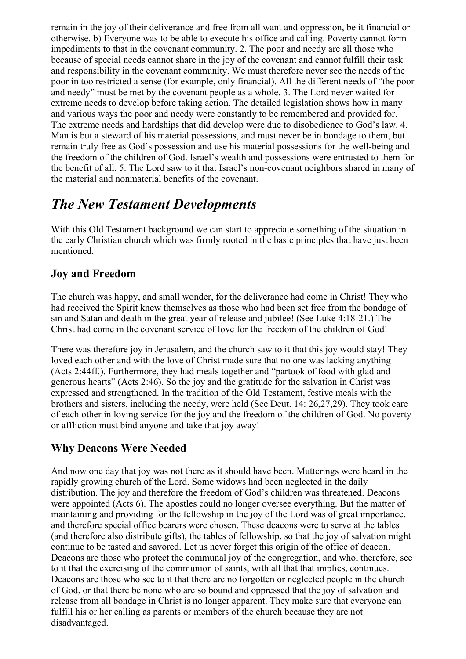remain in the joy of their deliverance and free from all want and oppression, be it financial or otherwise. b) Everyone was to be able to execute his office and calling. Poverty cannot form impediments to that in the covenant community. 2. The poor and needy are all those who because of special needs cannot share in the joy of the covenant and cannot fulfill their task and responsibility in the covenant community. We must therefore never see the needs of the poor in too restricted a sense (for example, only financial). All the different needs of "the poor and needy" must be met by the covenant people as a whole. 3. The Lord never waited for extreme needs to develop before taking action. The detailed legislation shows how in many and various ways the poor and needy were constantly to be remembered and provided for. The extreme needs and hardships that did develop were due to disobedience to God's law. 4. Man is but a steward of his material possessions, and must never be in bondage to them, but remain truly free as God's possession and use his material possessions for the well-being and the freedom of the children of God. Israel's wealth and possessions were entrusted to them for the benefit of all. 5. The Lord saw to it that Israel's non-covenant neighbors shared in many of the material and nonmaterial benefits of the covenant.

# *The New Testament Developments*

With this Old Testament background we can start to appreciate something of the situation in the early Christian church which was firmly rooted in the basic principles that have just been mentioned.

# **Joy and Freedom**

The church was happy, and small wonder, for the deliverance had come in Christ! They who had received the Spirit knew themselves as those who had been set free from the bondage of sin and Satan and death in the great year of release and jubilee! (See Luke 4:18-21.) The Christ had come in the covenant service of love for the freedom of the children of God!

There was therefore joy in Jerusalem, and the church saw to it that this joy would stay! They loved each other and with the love of Christ made sure that no one was lacking anything (Acts 2:44ff.). Furthermore, they had meals together and "partook of food with glad and generous hearts" (Acts 2:46). So the joy and the gratitude for the salvation in Christ was expressed and strengthened. In the tradition of the Old Testament, festive meals with the brothers and sisters, including the needy, were held (See Deut. 14: 26,27,29). They took care of each other in loving service for the joy and the freedom of the children of God. No poverty or affliction must bind anyone and take that joy away!

# **Why Deacons Were Needed**

And now one day that joy was not there as it should have been. Mutterings were heard in the rapidly growing church of the Lord. Some widows had been neglected in the daily distribution. The joy and therefore the freedom of God's children was threatened. Deacons were appointed (Acts 6). The apostles could no longer oversee everything. But the matter of maintaining and providing for the fellowship in the joy of the Lord was of great importance, and therefore special office bearers were chosen. These deacons were to serve at the tables (and therefore also distribute gifts), the tables of fellowship, so that the joy of salvation might continue to be tasted and savored. Let us never forget this origin of the office of deacon. Deacons are those who protect the communal joy of the congregation, and who, therefore, see to it that the exercising of the communion of saints, with all that that implies, continues. Deacons are those who see to it that there are no forgotten or neglected people in the church of God, or that there be none who are so bound and oppressed that the joy of salvation and release from all bondage in Christ is no longer apparent. They make sure that everyone can fulfill his or her calling as parents or members of the church because they are not disadvantaged.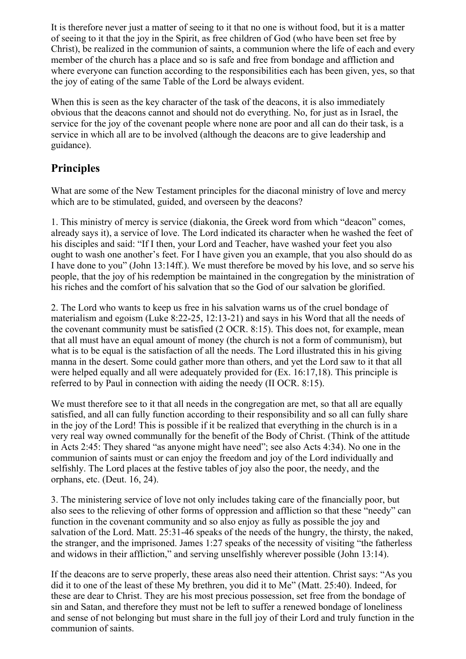It is therefore never just a matter of seeing to it that no one is without food, but it is a matter of seeing to it that the joy in the Spirit, as free children of God (who have been set free by Christ), be realized in the communion of saints, a communion where the life of each and every member of the church has a place and so is safe and free from bondage and affliction and where everyone can function according to the responsibilities each has been given, yes, so that the joy of eating of the same Table of the Lord be always evident.

When this is seen as the key character of the task of the deacons, it is also immediately obvious that the deacons cannot and should not do everything. No, for just as in Israel, the service for the joy of the covenant people where none are poor and all can do their task, is a service in which all are to be involved (although the deacons are to give leadership and guidance).

## **Principles**

What are some of the New Testament principles for the diaconal ministry of love and mercy which are to be stimulated, guided, and overseen by the deacons?

1. This ministry of mercy is service (diakonia, the Greek word from which "deacon" comes, already says it), a service of love. The Lord indicated its character when he washed the feet of his disciples and said: "If I then, your Lord and Teacher, have washed your feet you also ought to wash one another's feet. For I have given you an example, that you also should do as I have done to you" (John 13:14ff.). We must therefore be moved by his love, and so serve his people, that the joy of his redemption be maintained in the congregation by the ministration of his riches and the comfort of his salvation that so the God of our salvation be glorified.

2. The Lord who wants to keep us free in his salvation warns us of the cruel bondage of materialism and egoism (Luke 8:22-25, 12:13-21) and says in his Word that all the needs of the covenant community must be satisfied (2 OCR. 8:15). This does not, for example, mean that all must have an equal amount of money (the church is not a form of communism), but what is to be equal is the satisfaction of all the needs. The Lord illustrated this in his giving manna in the desert. Some could gather more than others, and yet the Lord saw to it that all were helped equally and all were adequately provided for (Ex. 16:17,18). This principle is referred to by Paul in connection with aiding the needy (II OCR. 8:15).

We must therefore see to it that all needs in the congregation are met, so that all are equally satisfied, and all can fully function according to their responsibility and so all can fully share in the joy of the Lord! This is possible if it be realized that everything in the church is in a very real way owned communally for the benefit of the Body of Christ. (Think of the attitude in Acts 2:45: They shared "as anyone might have need"; see also Acts 4:34). No one in the communion of saints must or can enjoy the freedom and joy of the Lord individually and selfishly. The Lord places at the festive tables of joy also the poor, the needy, and the orphans, etc. (Deut. 16, 24).

3. The ministering service of love not only includes taking care of the financially poor, but also sees to the relieving of other forms of oppression and affliction so that these "needy" can function in the covenant community and so also enjoy as fully as possible the joy and salvation of the Lord. Matt. 25:31-46 speaks of the needs of the hungry, the thirsty, the naked, the stranger, and the imprisoned. James 1:27 speaks of the necessity of visiting "the fatherless and widows in their affliction," and serving unselfishly wherever possible (John 13:14).

If the deacons are to serve properly, these areas also need their attention. Christ says: "As you did it to one of the least of these My brethren, you did it to Me" (Matt. 25:40). Indeed, for these are dear to Christ. They are his most precious possession, set free from the bondage of sin and Satan, and therefore they must not be left to suffer a renewed bondage of loneliness and sense of not belonging but must share in the full joy of their Lord and truly function in the communion of saints.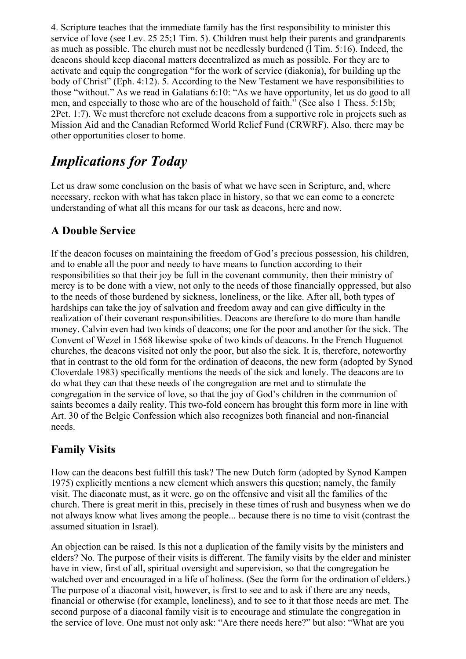4. Scripture teaches that the immediate family has the first responsibility to minister this service of love (see Lev. 25 25;1 Tim. 5). Children must help their parents and grandparents as much as possible. The church must not be needlessly burdened (l Tim. 5:16). Indeed, the deacons should keep diaconal matters decentralized as much as possible. For they are to activate and equip the congregation "for the work of service (diakonia), for building up the body of Christ" (Eph. 4:12). 5. According to the New Testament we have responsibilities to those "without." As we read in Galatians 6:10: "As we have opportunity, let us do good to all men, and especially to those who are of the household of faith." (See also 1 Thess. 5:15b; 2Pet. 1:7). We must therefore not exclude deacons from a supportive role in projects such as Mission Aid and the Canadian Reformed World Relief Fund (CRWRF). Also, there may be other opportunities closer to home.

# *Implications for Today*

Let us draw some conclusion on the basis of what we have seen in Scripture, and, where necessary, reckon with what has taken place in history, so that we can come to a concrete understanding of what all this means for our task as deacons, here and now.

## **A Double Service**

If the deacon focuses on maintaining the freedom of God's precious possession, his children, and to enable all the poor and needy to have means to function according to their responsibilities so that their joy be full in the covenant community, then their ministry of mercy is to be done with a view, not only to the needs of those financially oppressed, but also to the needs of those burdened by sickness, loneliness, or the like. After all, both types of hardships can take the joy of salvation and freedom away and can give difficulty in the realization of their covenant responsibilities. Deacons are therefore to do more than handle money. Calvin even had two kinds of deacons; one for the poor and another for the sick. The Convent of Wezel in 1568 likewise spoke of two kinds of deacons. In the French Huguenot churches, the deacons visited not only the poor, but also the sick. It is, therefore, noteworthy that in contrast to the old form for the ordination of deacons, the new form (adopted by Synod Cloverdale 1983) specifically mentions the needs of the sick and lonely. The deacons are to do what they can that these needs of the congregation are met and to stimulate the congregation in the service of love, so that the joy of God's children in the communion of saints becomes a daily reality. This two-fold concern has brought this form more in line with Art. 30 of the Belgic Confession which also recognizes both financial and non-financial needs.

# **Family Visits**

How can the deacons best fulfill this task? The new Dutch form (adopted by Synod Kampen 1975) explicitly mentions a new element which answers this question; namely, the family visit. The diaconate must, as it were, go on the offensive and visit all the families of the church. There is great merit in this, precisely in these times of rush and busyness when we do not always know what lives among the people... because there is no time to visit (contrast the assumed situation in Israel).

An objection can be raised. Is this not a duplication of the family visits by the ministers and elders? No. The purpose of their visits is different. The family visits by the elder and minister have in view, first of all, spiritual oversight and supervision, so that the congregation be watched over and encouraged in a life of holiness. (See the form for the ordination of elders.) The purpose of a diaconal visit, however, is first to see and to ask if there are any needs, financial or otherwise (for example, loneliness), and to see to it that those needs are met. The second purpose of a diaconal family visit is to encourage and stimulate the congregation in the service of love. One must not only ask: "Are there needs here?" but also: "What are you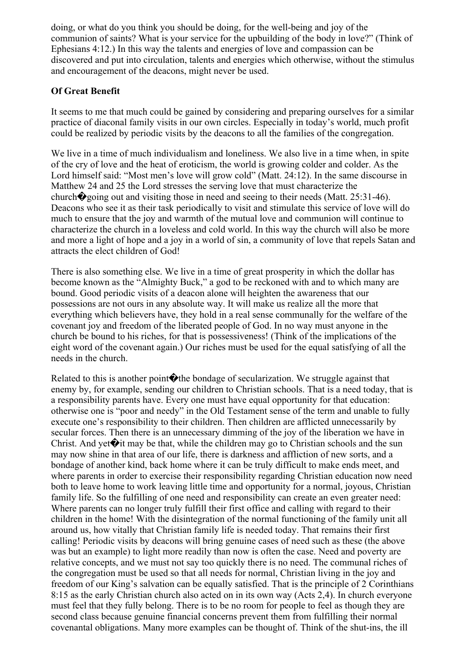doing, or what do you think you should be doing, for the well-being and joy of the communion of saints? What is your service for the upbuilding of the body in love?" (Think of Ephesians 4:12.) In this way the talents and energies of love and compassion can be discovered and put into circulation, talents and energies which otherwise, without the stimulus and encouragement of the deacons, might never be used.

#### **Of Great Benefit**

It seems to me that much could be gained by considering and preparing ourselves for a similar practice of diaconal family visits in our own circles. Especially in today's world, much profit could be realized by periodic visits by the deacons to all the families of the congregation.

We live in a time of much individualism and loneliness. We also live in a time when, in spite of the cry of love and the heat of eroticism, the world is growing colder and colder. As the Lord himself said: "Most men's love will grow cold" (Matt. 24:12). In the same discourse in Matthew 24 and 25 the Lord stresses the serving love that must characterize the church $\hat{\mathbf{\diamond}}$  going out and visiting those in need and seeing to their needs (Matt. 25:31-46). Deacons who see it as their task periodically to visit and stimulate this service of love will do much to ensure that the joy and warmth of the mutual love and communion will continue to characterize the church in a loveless and cold world. In this way the church will also be more and more a light of hope and a joy in a world of sin, a community of love that repels Satan and attracts the elect children of God!

There is also something else. We live in a time of great prosperity in which the dollar has become known as the "Almighty Buck," a god to be reckoned with and to which many are bound. Good periodic visits of a deacon alone will heighten the awareness that our possessions are not ours in any absolute way. It will make us realize all the more that everything which believers have, they hold in a real sense communally for the welfare of the covenant joy and freedom of the liberated people of God. In no way must anyone in the church be bound to his riches, for that is possessiveness! (Think of the implications of the eight word of the covenant again.) Our riches must be used for the equal satisfying of all the needs in the church.

Related to this is another point  $\bigcirc$  the bondage of secularization. We struggle against that enemy by, for example, sending our children to Christian schools. That is a need today, that is a responsibility parents have. Every one must have equal opportunity for that education: otherwise one is "poor and needy" in the Old Testament sense of the term and unable to fully execute one's responsibility to their children. Then children are afflicted unnecessarily by secular forces. Then there is an unnecessary dimming of the joy of the liberation we have in Christ. And vet $\bigcirc$  it may be that, while the children may go to Christian schools and the sun may now shine in that area of our life, there is darkness and affliction of new sorts, and a bondage of another kind, back home where it can be truly difficult to make ends meet, and where parents in order to exercise their responsibility regarding Christian education now need both to leave home to work leaving little time and opportunity for a normal, joyous, Christian family life. So the fulfilling of one need and responsibility can create an even greater need: Where parents can no longer truly fulfill their first office and calling with regard to their children in the home! With the disintegration of the normal functioning of the family unit all around us, how vitally that Christian family life is needed today. That remains their first calling! Periodic visits by deacons will bring genuine cases of need such as these (the above was but an example) to light more readily than now is often the case. Need and poverty are relative concepts, and we must not say too quickly there is no need. The communal riches of the congregation must be used so that all needs for normal, Christian living in the joy and freedom of our King's salvation can be equally satisfied. That is the principle of 2 Corinthians 8:15 as the early Christian church also acted on in its own way (Acts 2,4). In church everyone must feel that they fully belong. There is to be no room for people to feel as though they are second class because genuine financial concerns prevent them from fulfilling their normal covenantal obligations. Many more examples can be thought of. Think of the shut-ins, the ill